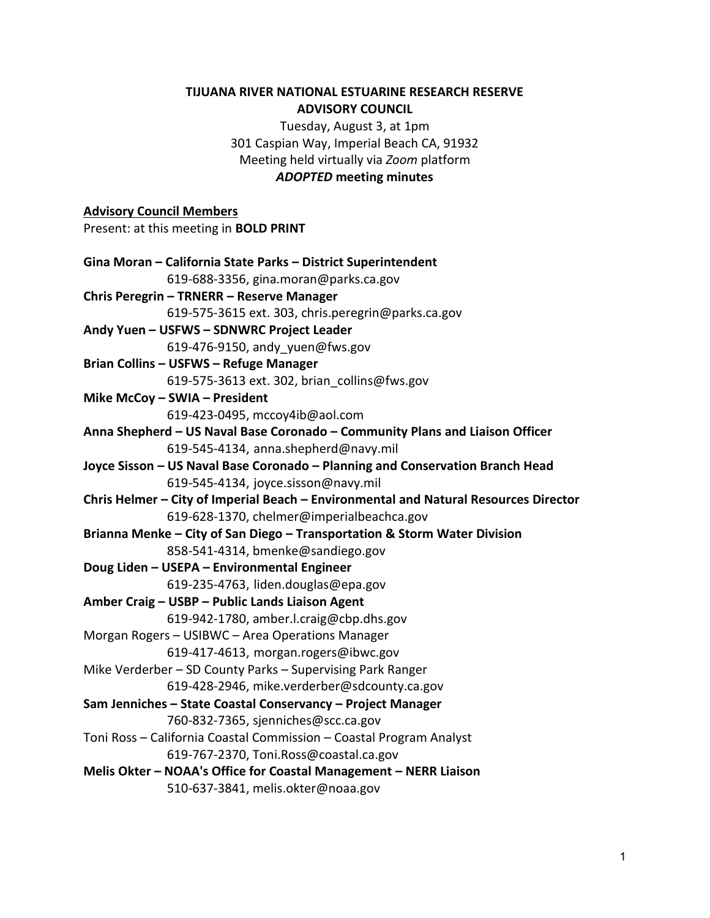### **TIJUANA RIVER NATIONAL ESTUARINE RESEARCH RESERVE ADVISORY COUNCIL**

Tuesday, August 3, at 1pm 301 Caspian Way, Imperial Beach CA, 91932 Meeting held virtually via *Zoom* platform *ADOPTED* **meeting minutes**

# **Advisory Council Members**  Present: at this meeting in **BOLD PRINT Gina Moran – California State Parks – District Superintendent** 619-688-3356, gina.moran@parks.ca.gov **Chris Peregrin – TRNERR – Reserve Manager** 619-575-3615 ext. 303, chris.peregrin@parks.ca.gov **Andy Yuen – USFWS – SDNWRC Project Leader** 619-476-9150, andy\_yuen@fws.gov **Brian Collins – USFWS – Refuge Manager** 619-575-3613 ext. 302, [brian\\_collins@fws.gov](mailto:brian_collins@fws.gov) **Mike McCoy – SWIA – President** 619-423-0495, mccoy4ib@aol.com **Anna Shepherd – US Naval Base Coronado – Community Plans and Liaison Officer** 619-545-4134, anna.shepherd@navy.mil **Joyce Sisson – US Naval Base Coronado – Planning and Conservation Branch Head** 619-545-4134, joyce.sisson@navy.mil **Chris Helmer – City of Imperial Beach – Environmental and Natural Resources Director** 619-628-1370, chelmer@imperialbeachca.gov **Brianna Menke – City of San Diego – Transportation & Storm Water Division** 858-541-4314, bmenke@sandiego.gov **Doug Liden – USEPA – Environmental Engineer** 619-235-4763, liden.douglas@epa.gov **Amber Craig – USBP – Public Lands Liaison Agent** 619-942-1780, amber.l.craig@cbp.dhs.gov Morgan Rogers – USIBWC – Area Operations Manager 619-417-4613, morgan.rogers@ibwc.gov Mike Verderber – SD County Parks – Supervising Park Ranger 619-428-2946, mike.verderber@sdcounty.ca.gov **Sam Jenniches – State Coastal Conservancy – Project Manager** 760-832-7365, sjenniches@scc.ca.gov Toni Ross – California Coastal Commission – Coastal Program Analyst 619-767-2370, Toni.Ross@coastal.ca.gov **Melis Okter – NOAA's Office for Coastal Management – NERR Liaison** 510-637-3841, melis.okter@noaa.gov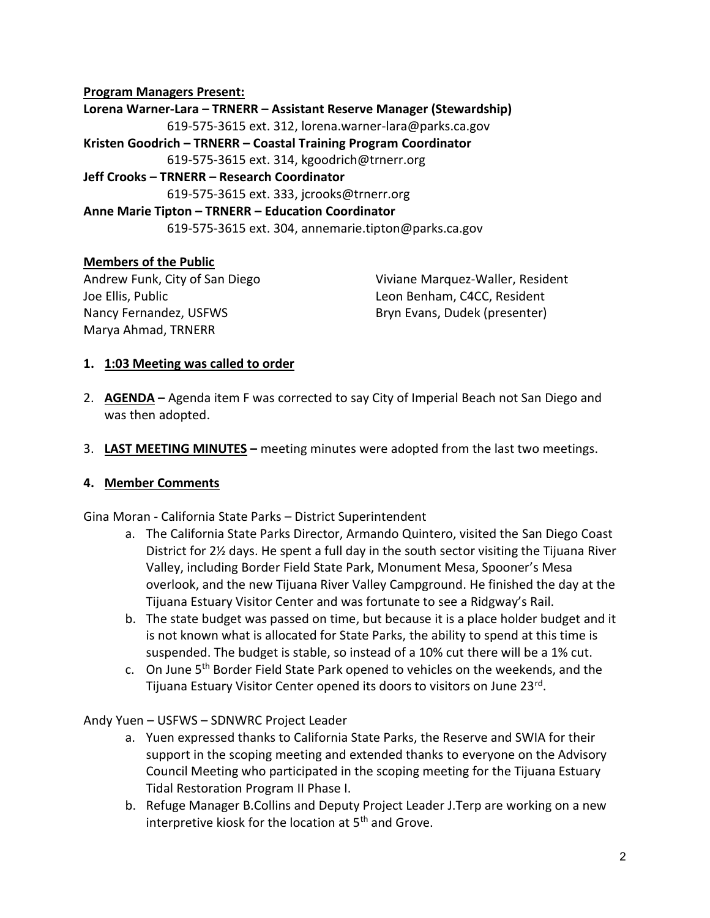### **Program Managers Present:**

**Lorena Warner-Lara – TRNERR – Assistant Reserve Manager (Stewardship)** 619-575-3615 ext. 312, lorena.warner-lara@parks.ca.gov **Kristen Goodrich – TRNERR – Coastal Training Program Coordinator** 619-575-3615 ext. 314, kgoodrich@trnerr.org **Jeff Crooks – TRNERR – Research Coordinator** 619-575-3615 ext. 333, jcrooks@trnerr.org **Anne Marie Tipton – TRNERR – Education Coordinator** 619-575-3615 ext. 304, annemarie.tipton@parks.ca.gov

### **Members of the Public**

Andrew Funk, City of San Diego Joe Ellis, Public Nancy Fernandez, USFWS Marya Ahmad, TRNERR

Viviane Marquez-Waller, Resident Leon Benham, C4CC, Resident Bryn Evans, Dudek (presenter)

#### **1. 1:03 Meeting was called to order**

- 2. **AGENDA –** Agenda item F was corrected to say City of Imperial Beach not San Diego and was then adopted.
- 3. **LAST MEETING MINUTES –** meeting minutes were adopted from the last two meetings.

#### **4. Member Comments**

Gina Moran - California State Parks – District Superintendent

- a. The California State Parks Director, Armando Quintero, visited the San Diego Coast District for 2½ days. He spent a full day in the south sector visiting the Tijuana River Valley, including Border Field State Park, Monument Mesa, Spooner's Mesa overlook, and the new Tijuana River Valley Campground. He finished the day at the Tijuana Estuary Visitor Center and was fortunate to see a Ridgway's Rail.
- b. The state budget was passed on time, but because it is a place holder budget and it is not known what is allocated for State Parks, the ability to spend at this time is suspended. The budget is stable, so instead of a 10% cut there will be a 1% cut.
- c. On June 5th Border Field State Park opened to vehicles on the weekends, and the Tijuana Estuary Visitor Center opened its doors to visitors on June 23<sup>rd</sup>.

Andy Yuen – USFWS – SDNWRC Project Leader

- a. Yuen expressed thanks to California State Parks, the Reserve and SWIA for their support in the scoping meeting and extended thanks to everyone on the Advisory Council Meeting who participated in the scoping meeting for the Tijuana Estuary Tidal Restoration Program II Phase I.
- b. Refuge Manager B.Collins and Deputy Project Leader J.Terp are working on a new interpretive kiosk for the location at 5<sup>th</sup> and Grove.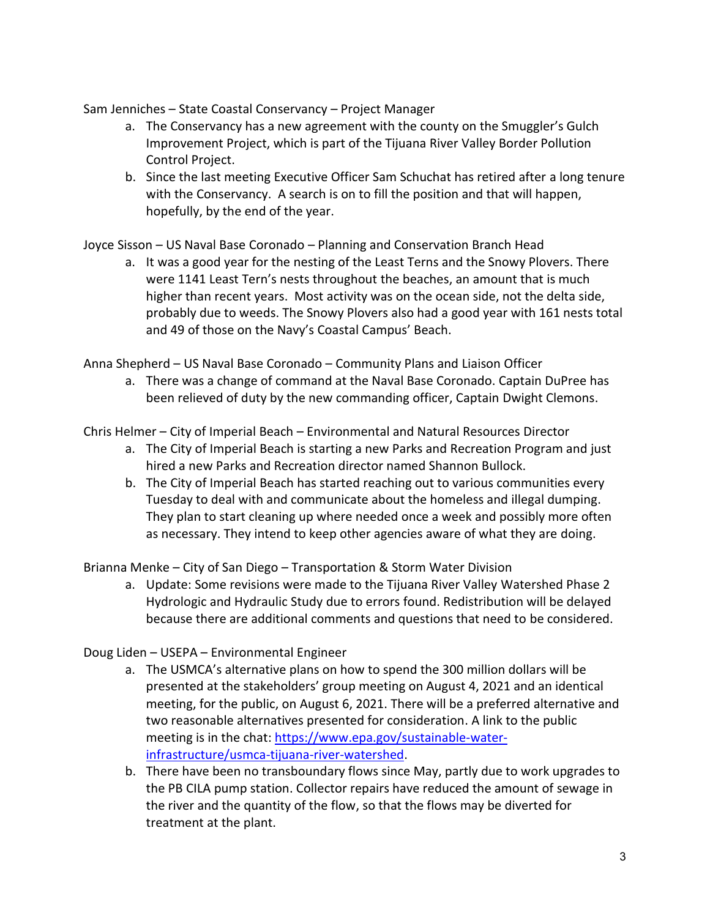Sam Jenniches – State Coastal Conservancy – Project Manager

- a. The Conservancy has a new agreement with the county on the Smuggler's Gulch Improvement Project, which is part of the Tijuana River Valley Border Pollution Control Project.
- b. Since the last meeting Executive Officer Sam Schuchat has retired after a long tenure with the Conservancy. A search is on to fill the position and that will happen, hopefully, by the end of the year.

Joyce Sisson – US Naval Base Coronado – Planning and Conservation Branch Head

a. It was a good year for the nesting of the Least Terns and the Snowy Plovers. There were 1141 Least Tern's nests throughout the beaches, an amount that is much higher than recent years. Most activity was on the ocean side, not the delta side, probably due to weeds. The Snowy Plovers also had a good year with 161 nests total and 49 of those on the Navy's Coastal Campus' Beach.

Anna Shepherd – US Naval Base Coronado – Community Plans and Liaison Officer

a. There was a change of command at the Naval Base Coronado. Captain DuPree has been relieved of duty by the new commanding officer, Captain Dwight Clemons.

Chris Helmer – City of Imperial Beach – Environmental and Natural Resources Director

- a. The City of Imperial Beach is starting a new Parks and Recreation Program and just hired a new Parks and Recreation director named Shannon Bullock.
- b. The City of Imperial Beach has started reaching out to various communities every Tuesday to deal with and communicate about the homeless and illegal dumping. They plan to start cleaning up where needed once a week and possibly more often as necessary. They intend to keep other agencies aware of what they are doing.

Brianna Menke – City of San Diego – Transportation & Storm Water Division

a. Update: Some revisions were made to the Tijuana River Valley Watershed Phase 2 Hydrologic and Hydraulic Study due to errors found. Redistribution will be delayed because there are additional comments and questions that need to be considered.

# Doug Liden – USEPA – Environmental Engineer

- a. The USMCA's alternative plans on how to spend the 300 million dollars will be presented at the stakeholders' group meeting on August 4, 2021 and an identical meeting, for the public, on August 6, 2021. There will be a preferred alternative and two reasonable alternatives presented for consideration. A link to the public meeting is in the chat: [https://www.epa.gov/sustainable-water](https://www.epa.gov/sustainable-water-infrastructure/usmca-tijuana-river-watershed)[infrastructure/usmca-tijuana-river-watershed.](https://www.epa.gov/sustainable-water-infrastructure/usmca-tijuana-river-watershed)
- b. There have been no transboundary flows since May, partly due to work upgrades to the PB CILA pump station. Collector repairs have reduced the amount of sewage in the river and the quantity of the flow, so that the flows may be diverted for treatment at the plant.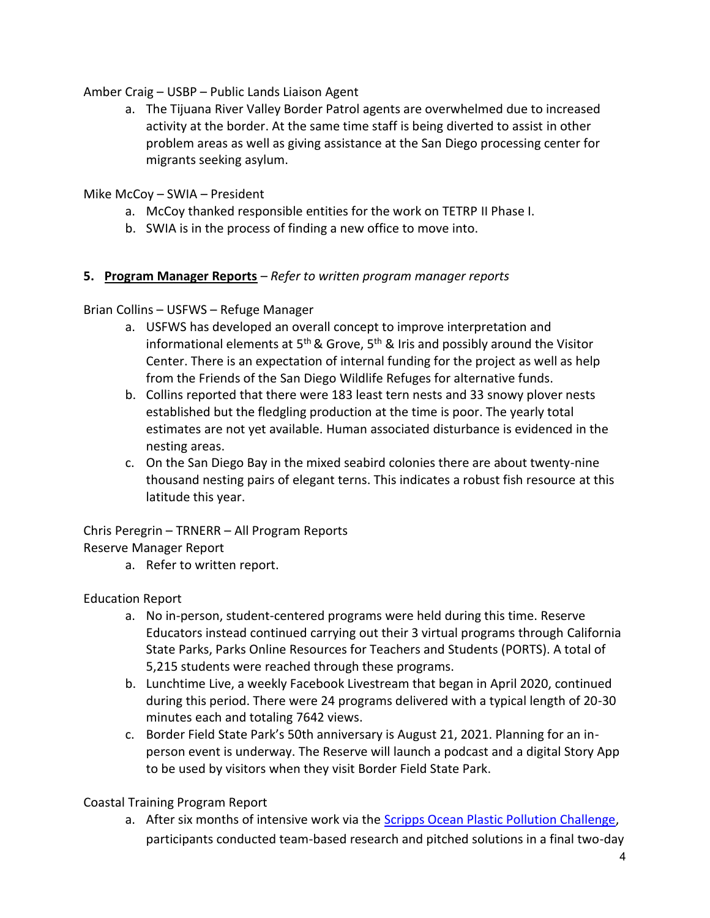Amber Craig – USBP – Public Lands Liaison Agent

- a. The Tijuana River Valley Border Patrol agents are overwhelmed due to increased activity at the border. At the same time staff is being diverted to assist in other problem areas as well as giving assistance at the San Diego processing center for migrants seeking asylum.
- Mike McCoy SWIA President
	- a. McCoy thanked responsible entities for the work on TETRP II Phase I.
	- b. SWIA is in the process of finding a new office to move into.

### **5. Program Manager Reports** – *Refer t[o written program manager reports](https://trnerr.org/wp-content/uploads/2021/08/TRNERR_Program_Manager_Reports_Jan-June2021.pdf)*

Brian Collins – USFWS – Refuge Manager

- a. USFWS has developed an overall concept to improve interpretation and informational elements at 5<sup>th</sup> & Grove, 5<sup>th</sup> & Iris and possibly around the Visitor Center. There is an expectation of internal funding for the project as well as help from the Friends of the San Diego Wildlife Refuges for alternative funds.
- b. Collins reported that there were 183 least tern nests and 33 snowy plover nests established but the fledgling production at the time is poor. The yearly total estimates are not yet available. Human associated disturbance is evidenced in the nesting areas.
- c. On the San Diego Bay in the mixed seabird colonies there are about twenty-nine thousand nesting pairs of elegant terns. This indicates a robust fish resource at this latitude this year.

Chris Peregrin – TRNERR – All Program Reports

Reserve Manager Report

a. Refer to written report.

Education Report

- a. No in-person, student-centered programs were held during this time. Reserve Educators instead continued carrying out their 3 virtual programs through California State Parks, Parks Online Resources for Teachers and Students (PORTS). A total of 5,215 students were reached through these programs.
- b. Lunchtime Live, a weekly Facebook Livestream that began in April 2020, continued during this period. There were 24 programs delivered with a typical length of 20-30 minutes each and totaling 7642 views.
- c. Border Field State Park's 50th anniversary is August 21, 2021. Planning for an inperson event is underway. The Reserve will launch a podcast and a digital Story App to be used by visitors when they visit Border Field State Park.

Coastal Training Program Report

a. After six months of intensive work via the **Scripps Ocean Plastic Pollution Challenge**, participants conducted team-based research and pitched solutions in a final two-day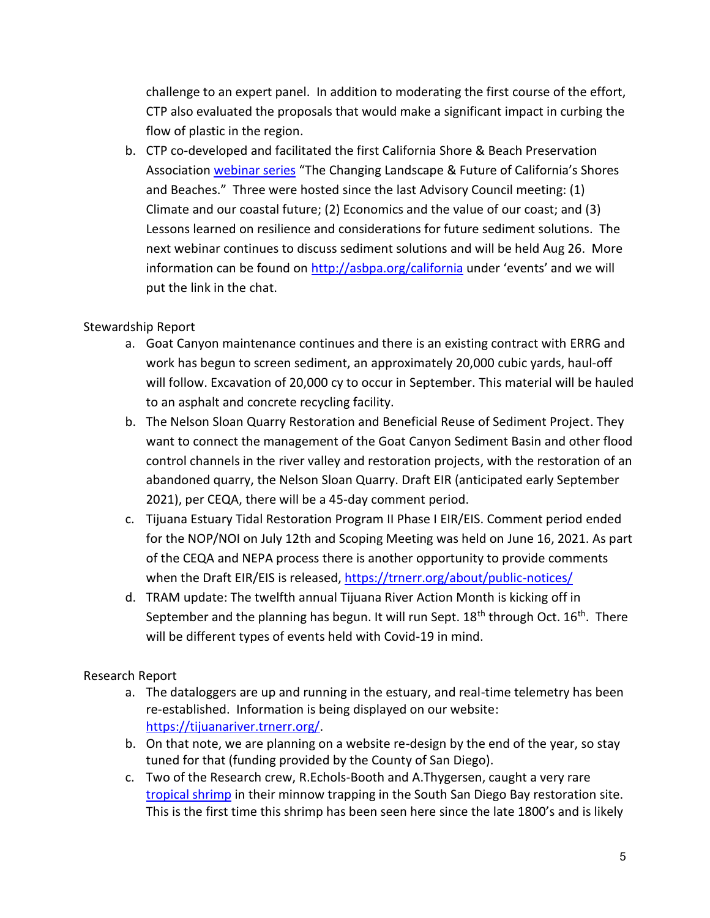challenge to an expert panel. In addition to moderating the first course of the effort, CTP also evaluated the proposals that would make a significant impact in curbing the flow of plastic in the region.

b. CTP co-developed and facilitated the first California Shore & Beach Preservation Association [webinar series](https://asbpa.org/2021/04/20/csbpa-2021-webinar-series/) "The Changing Landscape & Future of California's Shores and Beaches." Three were hosted since the last Advisory Council meeting: (1) Climate and our coastal future; (2) Economics and the value of our coast; and (3) Lessons learned on resilience and considerations for future sediment solutions. The next webinar continues to discuss sediment solutions and will be held Aug 26. More information can be found on<http://asbpa.org/california> under 'events' and we will put the link in the chat.

# Stewardship Report

- a. Goat Canyon maintenance continues and there is an existing contract with ERRG and work has begun to screen sediment, an approximately 20,000 cubic yards, haul-off will follow. Excavation of 20,000 cy to occur in September. This material will be hauled to an asphalt and concrete recycling facility.
- b. The Nelson Sloan Quarry Restoration and Beneficial Reuse of Sediment Project. They want to connect the management of the Goat Canyon Sediment Basin and other flood control channels in the river valley and restoration projects, with the restoration of an abandoned quarry, the Nelson Sloan Quarry. Draft EIR (anticipated early September 2021), per CEQA, there will be a 45-day comment period.
- c. Tijuana Estuary Tidal Restoration Program II Phase I EIR/EIS. Comment period ended for the NOP/NOI on July 12th and Scoping Meeting was held on June 16, 2021. As part of the CEQA and NEPA process there is another opportunity to provide comments when the Draft EIR/EIS is released, https://trnerr.org/about/public-notices/
- d. TRAM update: The twelfth annual Tijuana River Action Month is kicking off in September and the planning has begun. It will run Sept. 18<sup>th</sup> through Oct. 16<sup>th</sup>. There will be different types of events held with Covid-19 in mind.

# Research Report

- a. The dataloggers are up and running in the estuary, and real-time telemetry has been re-established. Information is being displayed on our website: [https://tijuanariver.trnerr.org/.](https://tijuanariver.trnerr.org/)
- b. On that note, we are planning on a website re-design by the end of the year, so stay tuned for that (funding provided by the County of San Diego).
- c. Two of the Research crew, R.Echols-Booth and A.Thygersen, caught a very rare [tropical shrimp](https://www.inaturalist.org/photos/147064656) in their minnow trapping in the South San Diego Bay restoration site. This is the first time this shrimp has been seen here since the late 1800's and is likely